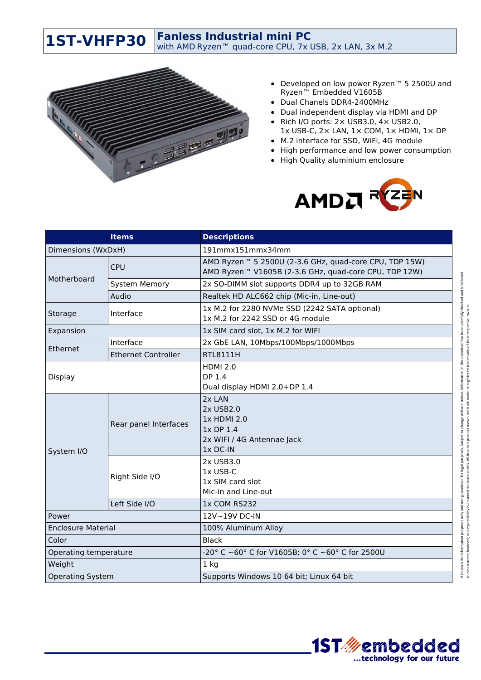**Fanless Industrial mini PC**

with AMD Ryzen™ quad-core CPU, 7x USB, 2x LAN, 3x M.2



**1ST-VHFP30**

- Developed on low power Ryzen™ 5 2500U and Ryzen™ Embedded V1605B
- Dual Chanels DDR4-2400MHz
- Dual independent display via HDMI and DP
- Rich I/O ports:  $2 \times$  USB3.0,  $4 \times$  USB2.0, 1x USB-C, 2× LAN, 1× COM, 1× HDMI, 1× DP
- M.2 interface for SSD, WiFi, 4G module
- High performance and low power consumption
- High Quality aluminium enclosure



|                           | <b>Items</b>               | <b>Descriptions</b>                                                                                                         |
|---------------------------|----------------------------|-----------------------------------------------------------------------------------------------------------------------------|
| Dimensions (WxDxH)        |                            | 191mmx151mmx34mm                                                                                                            |
| Motherboard               | <b>CPU</b>                 | AMD Ryzen <sup>™</sup> 5 2500U (2-3.6 GHz, quad-core CPU, TDP 15W)<br>AMD Ryzen™ V1605B (2-3.6 GHz, quad-core CPU, TDP 12W) |
|                           | <b>System Memory</b>       | 2x SO-DIMM slot supports DDR4 up to 32GB RAM                                                                                |
|                           | Audio                      | Realtek HD ALC662 chip (Mic-in, Line-out)                                                                                   |
| Storage                   | Interface                  | 1x M.2 for 2280 NVMe SSD (2242 SATA optional)<br>1x M.2 for 2242 SSD or 4G module                                           |
| Expansion                 |                            | 1x SIM card slot, 1x M.2 for WIFI                                                                                           |
| Ethernet                  | Interface                  | 2x GbE LAN, 10Mbps/100Mbps/1000Mbps                                                                                         |
|                           | <b>Ethernet Controller</b> | <b>RTL8111H</b>                                                                                                             |
| Display                   |                            | <b>HDMI 2.0</b><br>DP 1.4<br>Dual display HDMI 2.0+DP 1.4                                                                   |
| System I/O                | Rear panel Interfaces      | 2x LAN<br>2x USB2.0<br>1x HDMI 2.0<br>1x DP 1.4<br>2x WIFI / 4G Antennae Jack<br>$1x$ DC-IN                                 |
|                           | Right Side I/O             | 2x USB3.0<br>1x USB-C<br>1x SIM card slot<br>Mic-in and Line-out                                                            |
|                           | Left Side I/O              | 1x COM RS232                                                                                                                |
| Power                     |                            | 12V~19V DC-IN                                                                                                               |
| <b>Enclosure Material</b> |                            | 100% Aluminum Alloy                                                                                                         |
| Color                     |                            | <b>Black</b>                                                                                                                |
| Operating temperature     |                            | -20° C ~60° C for V1605B; 0° C ~60° C for 2500U                                                                             |
| Weight                    |                            | $1$ kg                                                                                                                      |
| <b>Operating System</b>   |                            | Supports Windows 10 64 bit; Linux 64 bit                                                                                    |